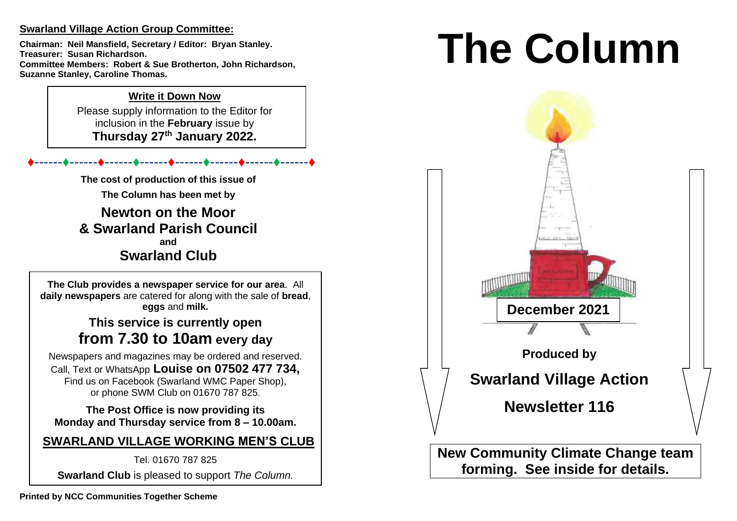## **Swarland Village Action Group Committee:**

**Chairman: Neil Mansfield, Secretary / Editor: Bryan Stanley. Treasurer: Susan Richardson. Committee Members: Robert & Sue Brotherton, John Richardson, Suzanne Stanley, Caroline Thomas.** 

## **Write it Down Now**

Please supply information to the Editor for inclusion in the **February** issue by **Thursday 27 th January 2022.** 

♦------♦------♦------♦------♦------♦------♦------♦------♦

**The cost of production of this issue of** 

**The Column has been met by**

**Newton on the Moor & Swarland Parish Council and Swarland Club**

**The Club provides a newspaper service for our area**. All **daily newspapers** are catered for along with the sale of **bread**, **eggs** and **milk.**

## **This service is currently open from 7.30 to 10am every day**

Newspapers and magazines may be ordered and reserved. Call, Text or WhatsApp **Louise on 07502 477 734,**  Find us on Facebook (Swarland WMC Paper Shop), or phone SWM Club on 01670 787 825.

**The Post Office is now providing its Monday and Thursday service from 8 – 10.00am.** 

# **SWARLAND VILLAGE WORKING MEN'S CLUB**

Tel. 01670 787 825

**Swarland Club** is pleased to support *The Column.*

# **The Column**

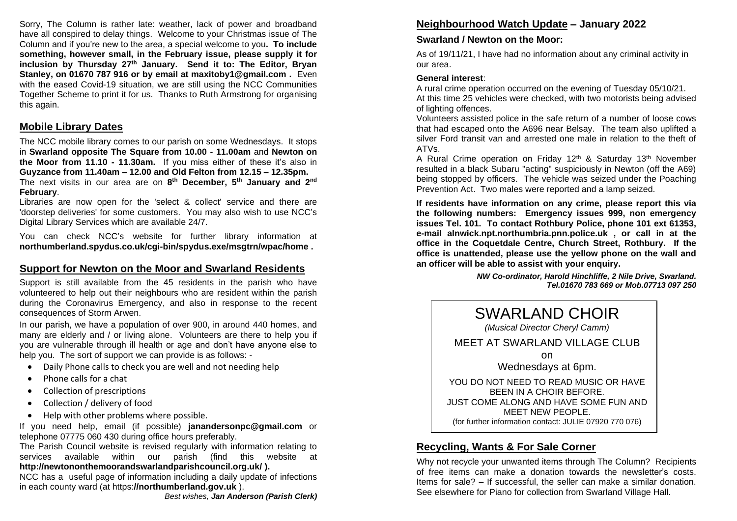Sorry, The Column is rather late: weather, lack of power and broadband have all conspired to delay things. Welcome to your Christmas issue of The Column and if you're new to the area, a special welcome to you**. To include something, however small, in the February issue, please supply it for inclusion by Thursday 27 th January. Send it to: The Editor, Bryan Stanley, on 01670 787 916 or by email at maxitoby1@gmail.com .** Even with the eased Covid-19 situation, we are still using the NCC Communities Together Scheme to print it for us. Thanks to Ruth Armstrong for organising this again.

#### **Mobile Library Dates**

The NCC mobile library comes to our parish on some Wednesdays. It stops in **Swarland opposite The Square from 10.00 - 11.00am** and **Newton on the Moor from 11.10 - 11.30am.** If you miss either of these it's also in **Guyzance from 11.40am – 12.00 and Old Felton from 12.15 – 12.35pm.**  The next visits in our area are on **8 th December, 5th January and 2nd February**.

Libraries are now open for the 'select & collect' service and there are 'doorstep deliveries' for some customers. You may also wish to use NCC's Digital Library Services which are available 24/7.

You can check NCC's website for further library information at **northumberland.spydus.co.uk/cgi-bin/spydus.exe/msgtrn/wpac/home .**

## **Support for Newton on the Moor and Swarland Residents**

Support is still available from the 45 residents in the parish who have volunteered to help out their neighbours who are resident within the parish during the Coronavirus Emergency, and also in response to the recent consequences of Storm Arwen.

In our parish, we have a population of over 900, in around 440 homes, and many are elderly and / or living alone. Volunteers are there to help you if you are vulnerable through ill health or age and don't have anyone else to help you. The sort of support we can provide is as follows: -

- Daily Phone calls to check you are well and not needing help
- Phone calls for a chat
- Collection of prescriptions
- Collection / delivery of food
- Help with other problems where possible.

If you need help, email (if possible) **janandersonpc@gmail.com** or telephone 07775 060 430 during office hours preferably.

The Parish Council website is revised regularly with information relating to services available within our parish (find this website at **http://newtononthemoorandswarlandparishcouncil.org.uk/ ).** 

NCC has a useful page of information including a daily update of infections in each county ward (at https:**//northumberland.gov.uk** ).

## **Neighbourhood Watch Update – January 2022**

## **Swarland / Newton on the Moor:**

As of 19/11/21, I have had no information about any criminal activity in our area.

### **General interest**:

A rural crime operation occurred on the evening of Tuesday 05/10/21. At this time 25 vehicles were checked, with two motorists being advised of lighting offences.

Volunteers assisted police in the safe return of a number of loose cows that had escaped onto the A696 near Belsay. The team also uplifted a silver Ford transit van and arrested one male in relation to the theft of ATVs.

A Rural Crime operation on Friday 12<sup>th</sup> & Saturday 13<sup>th</sup> November resulted in a black Subaru "acting" suspiciously in Newton (off the A69) being stopped by officers. The vehicle was seized under the Poaching Prevention Act. Two males were reported and a lamp seized.

**If residents have information on any crime, please report this via the following numbers: Emergency issues 999, non emergency issues Tel. 101. To contact Rothbury Police, phone 101 ext 61353, e-mail alnwick.npt.northumbria.pnn.police.uk , or call in at the office in the Coquetdale Centre, Church Street, Rothbury. If the office is unattended, please use the yellow phone on the wall and an officer will be able to assist with your enquiry.** 

> *NW Co-ordinator, Harold Hinchliffe, 2 Nile Drive, Swarland. Tel.01670 783 669 or Mob.07713 097 250*



## **Recycling, Wants & For Sale Corner**

Why not recycle your unwanted items through The Column? Recipients of free items can make a donation towards the newsletter's costs. Items for sale? – If successful, the seller can make a similar donation. See elsewhere for Piano for collection from Swarland Village Hall.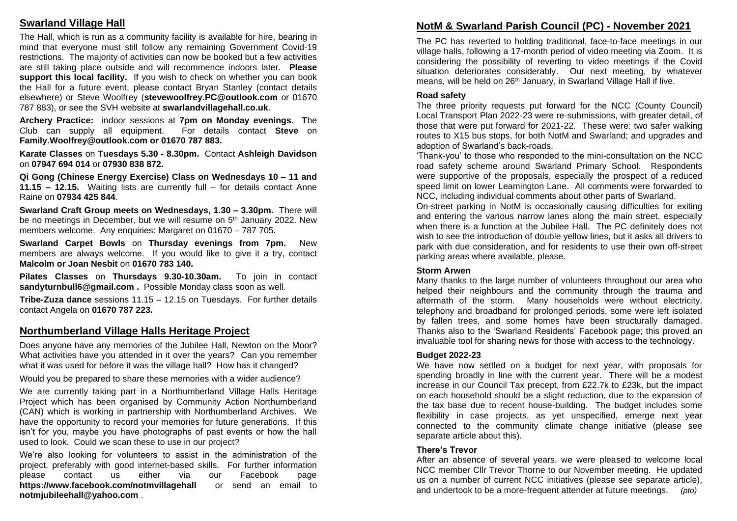## **Swarland Village Hall**

The Hall, which is run as a community facility is available for hire, bearing in mind that everyone must still follow any remaining Government Covid-19 restrictions. The majority of activities can now be booked but a few activities are still taking place outside and will recommence indoors later. **Please support this local facility.** If you wish to check on whether you can book the Hall for a future event, please contact Bryan Stanley (contact details elsewhere) or Steve Woolfrey (**stevewoolfrey.PC@outlook.com** or 01670 787 883), or see the SVH website at **swarlandvillagehall.co.uk**.

**Archery Practice:** indoor sessions at **7pm on Monday evenings. T**he Club can supply all equipment. For details contact **Steve** on **Family.Woolfrey@outlook.com or 01670 787 883.** 

**Karate Classes** on **Tuesdays 5.30 - 8.30pm.** Contact **Ashleigh Davidson** on **07947 694 014** or **07930 838 872.** 

**Qi Gong (Chinese Energy Exercise) Class on Wednesdays 10 – 11 and 11.15 – 12.15.** Waiting lists are currently full – for details contact Anne Raine on **07934 425 844**.

**Swarland Craft Group meets on Wednesdays, 1.30 – 3.30pm.** There will be no meetings in December, but we will resume on 5<sup>th</sup> January 2022. New members welcome. Any enquiries: Margaret on 01670 – 787 705.

**Swarland Carpet Bowls** on **Thursday evenings from 7pm.** New members are always welcome. If you would like to give it a try, contact **Malcolm or Joan Nesbit** on **01670 783 140.** 

**Pilates Classes** on **Thursdays 9.30-10.30am.** To join in contact **sandyturnbull6@gmail.com .** Possible Monday class soon as well.

**Tribe-Zuza dance** sessions 11.15 – 12.15 on Tuesdays. For further details contact Angela on **01670 787 223.** 

## **Northumberland Village Halls Heritage Project**

Does anyone have any memories of the Jubilee Hall, Newton on the Moor? What activities have you attended in it over the years? Can you remember what it was used for before it was the village hall? How has it changed?

Would you be prepared to share these memories with a wider audience?

We are currently taking part in a Northumberland Village Halls Heritage Project which has been organised by Community Action Northumberland (CAN) which is working in partnership with Northumberland Archives. We have the opportunity to record your memories for future generations. If this isn't for you, maybe you have photographs of past events or how the hall used to look. Could we scan these to use in our project?

We're also looking for volunteers to assist in the administration of the project, preferably with good internet-based skills. For further information please contact us either via our Facebook page **https://www.facebook.com/notmvillagehall** or send an email to **notmjubileehall@yahoo.com** .

## **NotM & Swarland Parish Council (PC) - November 2021**

The PC has reverted to holding traditional, face-to-face meetings in our village halls, following a 17-month period of video meeting via Zoom. It is considering the possibility of reverting to video meetings if the Covid situation deteriorates considerably. Our next meeting, by whatever means, will be held on 26<sup>th</sup> January, in Swarland Village Hall if live.

#### **Road safety**

The three priority requests put forward for the NCC (County Council) Local Transport Plan 2022-23 were re-submissions, with greater detail, of those that were put forward for 2021-22. These were: two safer walking routes to X15 bus stops, for both NotM and Swarland; and upgrades and adoption of Swarland's back-roads.

'Thank-you' to those who responded to the mini-consultation on the NCC road safety scheme around Swarland Primary School. Respondents were supportive of the proposals, especially the prospect of a reduced speed limit on lower Leamington Lane. All comments were forwarded to NCC, including individual comments about other parts of Swarland.

On-street parking in NotM is occasionally causing difficulties for exiting and entering the various narrow lanes along the main street, especially when there is a function at the Jubilee Hall. The PC definitely does not wish to see the introduction of double yellow lines, but it asks all drivers to park with due consideration, and for residents to use their own off-street parking areas where available, please.

#### **Storm Arwen**

Many thanks to the large number of volunteers throughout our area who helped their neighbours and the community through the trauma and aftermath of the storm. Many households were without electricity, telephony and broadband for prolonged periods, some were left isolated by fallen trees, and some homes have been structurally damaged. Thanks also to the 'Swarland Residents' Facebook page; this proved an invaluable tool for sharing news for those with access to the technology.

#### **Budget 2022-23**

We have now settled on a budget for next year, with proposals for spending broadly in line with the current year. There will be a modest increase in our Council Tax precept, from £22.7k to £23k, but the impact on each household should be a slight reduction, due to the expansion of the tax base due to recent house-building. The budget includes some flexibility in case projects, as yet unspecified, emerge next year connected to the community climate change initiative (please see separate article about this).

#### **There's Trevor**

After an absence of several years, we were pleased to welcome local NCC member Cllr Trevor Thorne to our November meeting. He updated us on a number of current NCC initiatives (please see separate article), and undertook to be a more-frequent attender at future meetings. *(pto)*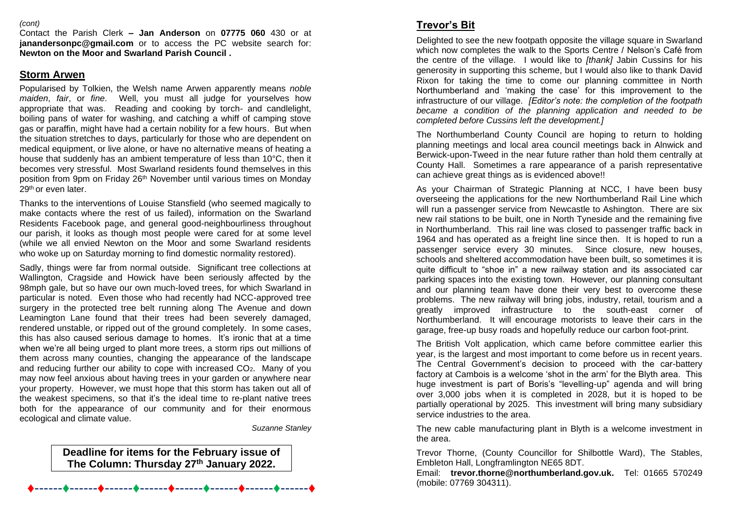#### *(cont)*

Contact the Parish Clerk **– Jan Anderson** on **07775 060** 430 or at **janandersonpc@gmail.com** or to access the PC website search for: **Newton on the Moor and Swarland Parish Council .**

#### **Storm Arwen**

Popularised by Tolkien, the Welsh name Arwen apparently means *noble maiden*, *fair*, or *fine*. Well, you must all judge for yourselves how appropriate that was. Reading and cooking by torch- and candlelight, boiling pans of water for washing, and catching a whiff of camping stove gas or paraffin, might have had a certain nobility for a few hours. But when the situation stretches to days, particularly for those who are dependent on medical equipment, or live alone, or have no alternative means of heating a house that suddenly has an ambient temperature of less than 10°C, then it becomes very stressful. Most Swarland residents found themselves in this position from 9pm on Friday 26<sup>th</sup> November until various times on Monday 29<sup>th</sup> or even later.

Thanks to the interventions of Louise Stansfield (who seemed magically to make contacts where the rest of us failed), information on the Swarland Residents Facebook page, and general good-neighbourliness throughout our parish, it looks as though most people were cared for at some level (while we all envied Newton on the Moor and some Swarland residents who woke up on Saturday morning to find domestic normality restored).

Sadly, things were far from normal outside. Significant tree collections at Wallington, Cragside and Howick have been seriously affected by the 98mph gale, but so have our own much-loved trees, for which Swarland in particular is noted. Even those who had recently had NCC-approved tree surgery in the protected tree belt running along The Avenue and down Leamington Lane found that their trees had been severely damaged, rendered unstable, or ripped out of the ground completely. In some cases, this has also caused serious damage to homes. It's ironic that at a time when we're all being urged to plant more trees, a storm rips out millions of them across many counties, changing the appearance of the landscape and reducing further our ability to cope with increased CO2. Many of you may now feel anxious about having trees in your garden or anywhere near your property. However, we must hope that this storm has taken out all of the weakest specimens, so that it's the ideal time to re-plant native trees both for the appearance of our community and for their enormous ecological and climate value.

*Suzanne Stanley*

## **Deadline for items for the February issue of The Column: Thursday 27 th January 2022.**

## **Trevor's Bit**

Delighted to see the new footpath opposite the village square in Swarland which now completes the walk to the Sports Centre / Nelson's Café from the centre of the village. I would like to *[thank]* Jabin Cussins for his generosity in supporting this scheme, but I would also like to thank David Rixon for taking the time to come our planning committee in North Northumberland and 'making the case' for this improvement to the infrastructure of our village. *[Editor's note: the completion of the footpath became a condition of the planning application and needed to be completed before Cussins left the development.]*

The Northumberland County Council are hoping to return to holding planning meetings and local area council meetings back in Alnwick and Berwick-upon-Tweed in the near future rather than hold them centrally at County Hall. Sometimes a rare appearance of a parish representative can achieve great things as is evidenced above!!

As your Chairman of Strategic Planning at NCC, I have been busy overseeing the applications for the new Northumberland Rail Line which will run a passenger service from Newcastle to Ashington. There are six new rail stations to be built, one in North Tyneside and the remaining five in Northumberland. This rail line was closed to passenger traffic back in 1964 and has operated as a freight line since then. It is hoped to run a passenger service every 30 minutes. Since closure, new houses, schools and sheltered accommodation have been built, so sometimes it is quite difficult to "shoe in" a new railway station and its associated car parking spaces into the existing town. However, our planning consultant and our planning team have done their very best to overcome these problems. The new railway will bring jobs, industry, retail, tourism and a greatly improved infrastructure to the south-east corner of Northumberland. It will encourage motorists to leave their cars in the garage, free-up busy roads and hopefully reduce our carbon foot-print.

The British Volt application, which came before committee earlier this year, is the largest and most important to come before us in recent years. The Central Government's decision to proceed with the car-battery factory at Cambois is a welcome 'shot in the arm' for the Blyth area. This huge investment is part of Boris's "levelling-up" agenda and will bring over 3,000 jobs when it is completed in 2028, but it is hoped to be partially operational by 2025. This investment will bring many subsidiary service industries to the area.

The new cable manufacturing plant in Blyth is a welcome investment in the area.

Trevor Thorne, (County Councillor for Shilbottle Ward), The Stables, Embleton Hall, Longframlington NE65 8DT.

Email: **trevor.thorne@northumberland.gov.uk.** Tel: 01665 570249 (mobile: 07769 304311).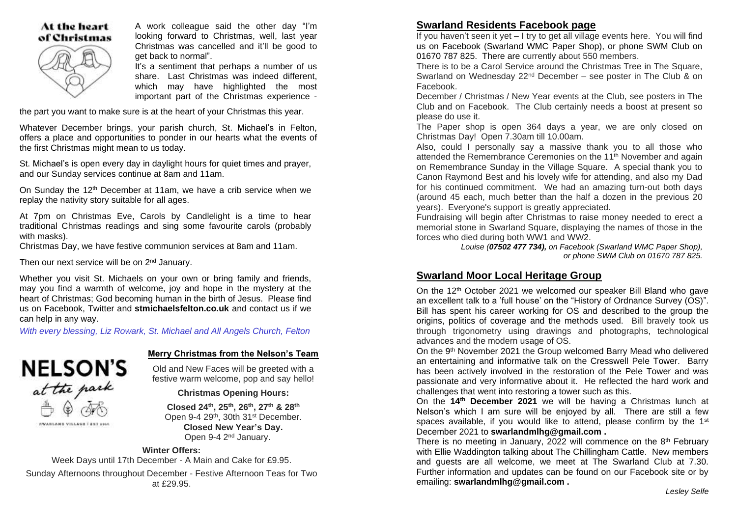#### At the heart of Christmas

A work colleague said the other day "I'm looking forward to Christmas, well, last year Christmas was cancelled and it'll be good to get back to normal".

It's a sentiment that perhaps a number of us share. Last Christmas was indeed different, which may have highlighted the most important part of the Christmas experience -

the part you want to make sure is at the heart of your Christmas this year.

Whatever December brings, your parish church, St. Michael's in Felton, offers a place and opportunities to ponder in our hearts what the events of the first Christmas might mean to us today.

St. Michael's is open every day in daylight hours for quiet times and prayer, and our Sunday services continue at 8am and 11am.

On Sunday the 12th December at 11am, we have a crib service when we replay the nativity story suitable for all ages.

At 7pm on Christmas Eve, Carols by Candlelight is a time to hear traditional Christmas readings and sing some favourite carols (probably with masks).

Christmas Day, we have festive communion services at 8am and 11am.

Then our next service will be on 2<sup>nd</sup> January.

Whether you visit St. Michaels on your own or bring family and friends, may you find a warmth of welcome, joy and hope in the mystery at the heart of Christmas; God becoming human in the birth of Jesus. Please find us on Facebook, Twitter and **stmichaelsfelton.co.uk** and contact us if we can help in any way.

*With every blessing, Liz Rowark, St. Michael and All Angels Church, Felton* 



#### **Merry Christmas from the Nelson's Team**

Old and New Faces will be greeted with a festive warm welcome, pop and say hello!

#### **Christmas Opening Hours:**

**Closed 24th , 25th , 26th, 27th & 28th** Open 9-4 29<sup>th</sup>, 30th 31<sup>st</sup> December. **Closed New Year's Day.** Open 9-4 2nd January.

#### **Winter Offers:**

Week Days until 17th December - A Main and Cake for £9.95. Sunday Afternoons throughout December - Festive Afternoon Teas for Two at £29.95.

#### **Swarland Residents Facebook page**

If you haven't seen it yet  $-1$  try to get all village events here. You will find us on Facebook (Swarland WMC Paper Shop), or phone SWM Club on 01670 787 825. There are currently about 550 members.

There is to be a Carol Service around the Christmas Tree in The Square, Swarland on Wednesday 22nd December – see poster in The Club & on Facebook.

December / Christmas / New Year events at the Club, see posters in The Club and on Facebook. The Club certainly needs a boost at present so please do use it.

The Paper shop is open 364 days a year, we are only closed on Christmas Day! Open 7.30am till 10.00am.

Also, could I personally say a massive thank you to all those who attended the Remembrance Ceremonies on the 11<sup>th</sup> November and again on Remembrance Sunday in the Village Square. A special thank you to Canon Raymond Best and his lovely wife for attending, and also my Dad for his continued commitment. We had an amazing turn-out both days (around 45 each, much better than the half a dozen in the previous 20 years). Everyone's support is greatly appreciated.

Fundraising will begin after Christmas to raise money needed to erect a memorial stone in Swarland Square, displaying the names of those in the forces who died during both WW1 and WW2.

*Louise (07502 477 734), on Facebook (Swarland WMC Paper Shop), or phone SWM Club on 01670 787 825.* 

#### **Swarland Moor Local Heritage Group**

On the 12th October 2021 we welcomed our speaker Bill Bland who gave an excellent talk to a 'full house' on the "History of Ordnance Survey (OS)". Bill has spent his career working for OS and described to the group the origins, politics of coverage and the methods used. Bill bravely took us through trigonometry using drawings and photographs, technological advances and the modern usage of OS.

On the 9<sup>th</sup> November 2021 the Group welcomed Barry Mead who delivered an entertaining and informative talk on the Cresswell Pele Tower. Barry has been actively involved in the restoration of the Pele Tower and was passionate and very informative about it. He reflected the hard work and challenges that went into restoring a tower such as this.

On the **14th December 2021** we will be having a Christmas lunch at Nelson's which I am sure will be enjoyed by all. There are still a few spaces available, if you would like to attend, please confirm by the  $1<sup>st</sup>$ December 2021 to **swarlandmlhg@gmail.com .** 

There is no meeting in January, 2022 will commence on the  $8<sup>th</sup>$  February with Ellie Waddington talking about The Chillingham Cattle. New members and guests are all welcome, we meet at The Swarland Club at 7.30. Further information and updates can be found on our Facebook site or by emailing: **swarlandmlhg@gmail.com .**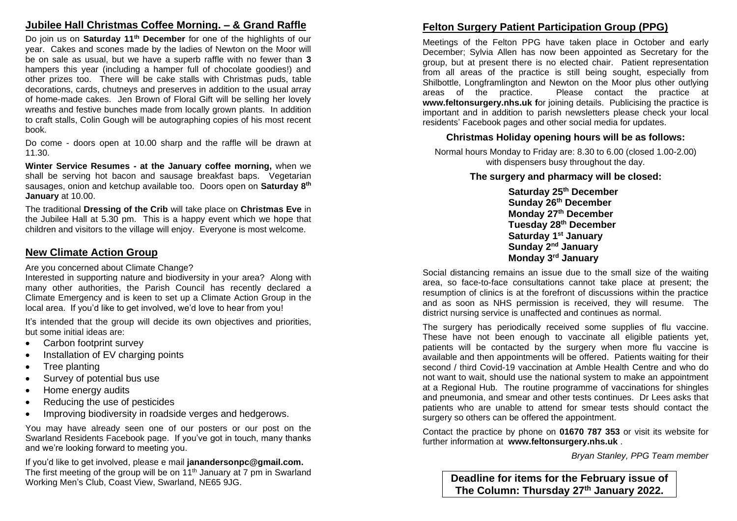## **Jubilee Hall Christmas Coffee Morning. – & Grand Raffle**

Do join us on **Saturday 11th December** for one of the highlights of our year. Cakes and scones made by the ladies of Newton on the Moor will be on sale as usual, but we have a superb raffle with no fewer than **3** hampers this year (including a hamper full of chocolate goodies!) and other prizes too. There will be cake stalls with Christmas puds, table decorations, cards, chutneys and preserves in addition to the usual array of home-made cakes. Jen Brown of Floral Gift will be selling her lovely wreaths and festive bunches made from locally grown plants. In addition to craft stalls, Colin Gough will be autographing copies of his most recent book.

Do come - doors open at 10.00 sharp and the raffle will be drawn at 11.30.

**Winter Service Resumes - at the January coffee morning,** when we shall be serving hot bacon and sausage breakfast baps. Vegetarian sausages, onion and ketchup available too. Doors open on **Saturday 8th January** at 10.00.

The traditional **Dressing of the Crib** will take place on **Christmas Eve** in the Jubilee Hall at 5.30 pm. This is a happy event which we hope that children and visitors to the village will enjoy. Everyone is most welcome.

#### **New Climate Action Group**

Are you concerned about Climate Change?

Interested in supporting nature and biodiversity in your area? Along with many other authorities, the Parish Council has recently declared a Climate Emergency and is keen to set up a Climate Action Group in the local area. If you'd like to get involved, we'd love to hear from you!

It's intended that the group will decide its own objectives and priorities, but some initial ideas are:

- Carbon footprint survey
- Installation of EV charging points
- Tree planting
- Survey of potential bus use
- Home energy audits
- Reducing the use of pesticides
- Improving biodiversity in roadside verges and hedgerows.

You may have already seen one of our posters or our post on the Swarland Residents Facebook page. If you've got in touch, many thanks and we're looking forward to meeting you.

If you'd like to get involved, please e mail **janandersonpc@gmail.com.** The first meeting of the group will be on 11<sup>th</sup> January at 7 pm in Swarland Working Men's Club, Coast View, Swarland, NE65 9JG.

## **Felton Surgery Patient Participation Group (PPG)**

Meetings of the Felton PPG have taken place in October and early December; Sylvia Allen has now been appointed as Secretary for the group, but at present there is no elected chair. Patient representation from all areas of the practice is still being sought, especially from Shilbottle, Longframlington and Newton on the Moor plus other outlying areas of the practice. Please contact the practice at **www.feltonsurgery.nhs.uk f**or joining details. Publicising the practice is important and in addition to parish newsletters please check your local residents' Facebook pages and other social media for updates.

#### **Christmas Holiday opening hours will be as follows:**

Normal hours Monday to Friday are: 8.30 to 6.00 (closed 1.00-2.00) with dispensers busy throughout the day.

#### **The surgery and pharmacy will be closed:**

 **Saturday 25 th December Sunday 26th December Monday 27th December Tuesday 28th December Saturday 1 st January Sunday 2nd January Monday 3rd January**

Social distancing remains an issue due to the small size of the waiting area, so face-to-face consultations cannot take place at present; the resumption of clinics is at the forefront of discussions within the practice and as soon as NHS permission is received, they will resume. The district nursing service is unaffected and continues as normal.

The surgery has periodically received some supplies of flu vaccine. These have not been enough to vaccinate all eligible patients yet. patients will be contacted by the surgery when more flu vaccine is available and then appointments will be offered. Patients waiting for their second / third Covid-19 vaccination at Amble Health Centre and who do not want to wait, should use the national system to make an appointment at a Regional Hub. The routine programme of vaccinations for shingles and pneumonia, and smear and other tests continues. Dr Lees asks that patients who are unable to attend for smear tests should contact the surgery so others can be offered the appointment.

Contact the practice by phone on **01670 787 353** or visit its website for further information at **www.feltonsurgery.nhs.uk** .

*Bryan Stanley, PPG Team member*

**Deadline for items for the February issue of The Column: Thursday 27 th January 2022.**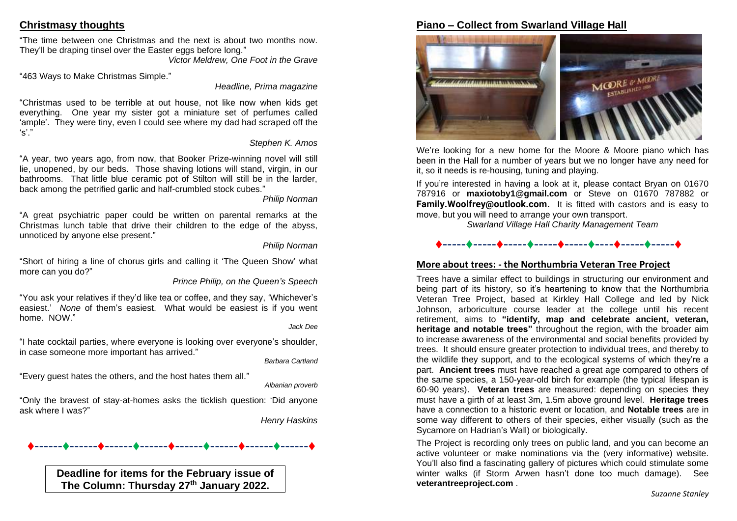## **Christmasy thoughts**

"The time between one Christmas and the next is about two months now. They'll be draping tinsel over the Easter eggs before long."

*Victor Meldrew, One Foot in the Grave*

"463 Ways to Make Christmas Simple."

*Headline, Prima magazine*

"Christmas used to be terrible at out house, not like now when kids get everything. One year my sister got a miniature set of perfumes called 'ample'. They were tiny, even I could see where my dad had scraped off the 's'."

#### *Stephen K. Amos*

"A year, two years ago, from now, that Booker Prize-winning novel will still lie, unopened, by our beds. Those shaving lotions will stand, virgin, in our bathrooms. That little blue ceramic pot of Stilton will still be in the larder, back among the petrified garlic and half-crumbled stock cubes."

#### *Philip Norman*

"A great psychiatric paper could be written on parental remarks at the Christmas lunch table that drive their children to the edge of the abyss, unnoticed by anyone else present."

#### *Philip Norman*

"Short of hiring a line of chorus girls and calling it 'The Queen Show' what more can you do?"

*Prince Philip, on the Queen's Speech*

"You ask your relatives if they'd like tea or coffee, and they say, 'Whichever's easiest.' *None* of them's easiest. What would be easiest is if you went home. NOW."

#### *Jack Dee*

"I hate cocktail parties, where everyone is looking over everyone's shoulder, in case someone more important has arrived."

*Barbara Cartland*

"Every guest hates the others, and the host hates them all."

*Albanian proverb*

"Only the bravest of stay-at-homes asks the ticklish question: 'Did anyone ask where I was?"

*Henry Haskins*

## ♦------♦------♦------♦------♦------♦------♦------♦------♦

**Deadline for items for the February issue of The Column: Thursday 27 th January 2022.**

## **Piano – Collect from Swarland Village Hall**



We're looking for a new home for the Moore & Moore piano which has been in the Hall for a number of years but we no longer have any need for it, so it needs is re-housing, tuning and playing.

If you're interested in having a look at it, please contact Bryan on 01670 787916 or **maxiotoby1@gmail.com** or Steve on 01670 787882 or **Family.Woolfrey@outlook.com.** It is fitted with castors and is easy to move, but you will need to arrange your own transport.

*Swarland Village Hall Charity Management Team*

## ♦-----♦-----♦-----♦-----♦-----♦----♦-----♦-----♦

## **More about trees: - the Northumbria Veteran Tree Project**

Trees have a similar effect to buildings in structuring our environment and being part of its history, so it's heartening to know that the Northumbria Veteran Tree Project, based at Kirkley Hall College and led by Nick Johnson, arboriculture course leader at the college until his recent retirement, aims to **"identify, map and celebrate ancient, veteran, heritage and notable trees"** throughout the region, with the broader aim to increase awareness of the environmental and social benefits provided by trees. It should ensure greater protection to individual trees, and thereby to the wildlife they support, and to the ecological systems of which they're a part. **Ancient trees** must have reached a great age compared to others of the same species, a 150-year-old birch for example (the typical lifespan is 60-90 years). **Veteran trees** are measured: depending on species they must have a girth of at least 3m, 1.5m above ground level. **Heritage trees** have a connection to a historic event or location, and **Notable trees** are in some way different to others of their species, either visually (such as the Sycamore on Hadrian's Wall) or biologically.

The Project is recording only trees on public land, and you can become an active volunteer or make nominations via the (very informative) website. You'll also find a fascinating gallery of pictures which could stimulate some winter walks (if Storm Arwen hasn't done too much damage). See **veterantreeproject.com** .